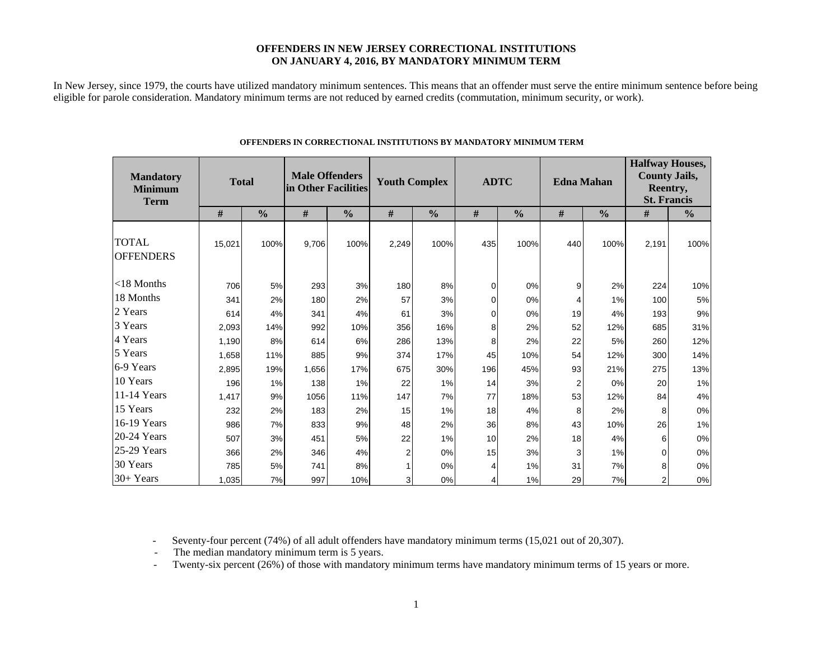### **OFFENDERS IN NEW JERSEY CORRECTIONAL INSTITUTIONS ON JANUARY 4, 2016, BY MANDATORY MINIMUM TERM**

In New Jersey, since 1979, the courts have utilized mandatory minimum sentences. This means that an offender must serve the entire minimum sentence before being eligible for parole consideration. Mandatory minimum terms are not reduced by earned credits (commutation, minimum security, or work).

| <b>Mandatory</b><br><b>Minimum</b><br><b>Term</b> | <b>Total</b> |               | <b>Male Offenders</b><br>in Other Facilities |               | <b>Youth Complex</b> |               | <b>ADTC</b> |               |     | <b>Edna Mahan</b> | <b>Halfway Houses,</b><br><b>County Jails,</b><br>Reentry,<br><b>St. Francis</b> |               |  |
|---------------------------------------------------|--------------|---------------|----------------------------------------------|---------------|----------------------|---------------|-------------|---------------|-----|-------------------|----------------------------------------------------------------------------------|---------------|--|
|                                                   | #            | $\frac{0}{0}$ | #                                            | $\frac{0}{0}$ | $\#$                 | $\frac{0}{0}$ | #           | $\frac{0}{0}$ | #   | $\frac{0}{0}$     | #                                                                                | $\frac{0}{0}$ |  |
| <b>TOTAL</b><br><b>OFFENDERS</b>                  | 15,021       | 100%          | 9,706                                        | 100%          | 2,249                | 100%          | 435         | 100%          | 440 | 100%              | 2,191                                                                            | 100%          |  |
| $<$ 18 Months                                     | 706          | 5%            | 293                                          | 3%            | 180                  | 8%            | 0           | 0%            | 9   | 2%                | 224                                                                              | 10%           |  |
| 18 Months                                         | 341          | 2%            | 180                                          | 2%            | 57                   | 3%            | 0           | 0%            | 4   | 1%                | 100                                                                              | $5\%$         |  |
| 2 Years                                           | 614          | 4%            | 341                                          | 4%            | 61                   | 3%            | 0           | 0%            | 19  | 4%                | 193                                                                              | $9\%$         |  |
| 3 Years                                           | 2,093        | 14%           | 992                                          | 10%           | 356                  | 16%           | 8           | 2%            | 52  | 12%               | 685                                                                              | 31%           |  |
| 4 Years                                           | 1,190        | 8%            | 614                                          | 6%            | 286                  | 13%           | 8           | 2%            | 22  | 5%                | 260                                                                              | 12%           |  |
| 5 Years                                           | 1,658        | 11%           | 885                                          | 9%            | 374                  | 17%           | 45          | 10%           | 54  | 12%               | 300                                                                              | 14%           |  |
| 6-9 Years                                         | 2,895        | 19%           | 1,656                                        | 17%           | 675                  | 30%           | 196         | 45%           | 93  | 21%               | 275                                                                              | 13%           |  |
| 10 Years                                          | 196          | 1%            | 138                                          | 1%            | 22                   | 1%            | 14          | 3%            | 2   | 0%                | 20                                                                               | 1%            |  |
| 11-14 Years                                       | 1,417        | 9%            | 1056                                         | 11%           | 147                  | 7%            | 77          | 18%           | 53  | 12%               | 84                                                                               | $4\%$         |  |
| 15 Years                                          | 232          | 2%            | 183                                          | 2%            | 15                   | 1%            | 18          | 4%            | 8   | 2%                | 8                                                                                | $0\%$         |  |
| 16-19 Years                                       | 986          | 7%            | 833                                          | 9%            | 48                   | 2%            | 36          | 8%            | 43  | 10%               | 26                                                                               | $1\%$         |  |
| 20-24 Years                                       | 507          | 3%            | 451                                          | 5%            | 22                   | 1%            | 10          | 2%            | 18  | 4%                | 6                                                                                | 0%            |  |
| 25-29 Years                                       | 366          | 2%            | 346                                          | 4%            | $\overline{2}$       | 0%            | 15          | 3%            | 3   | 1%                | $\Omega$                                                                         | $0\%$         |  |
| 30 Years                                          | 785          | 5%            | 741                                          | 8%            |                      | 0%            | 4           | 1%            | 31  | 7%                | 8                                                                                | $0\%$         |  |
| $30+Years$                                        | 1,035        | 7%            | 997                                          | 10%           | 3                    | 0%            | 4           | 1%            | 29  | 7%                | $\overline{2}$                                                                   | $0\%$         |  |

#### **OFFENDERS IN CORRECTIONAL INSTITUTIONS BY MANDATORY MINIMUM TERM**

- Seventy-four percent (74%) of all adult offenders have mandatory minimum terms (15,021 out of 20,307).

- The median mandatory minimum term is 5 years.

-Twenty-six percent (26%) of those with mandatory minimum terms have mandatory minimum terms of 15 years or more.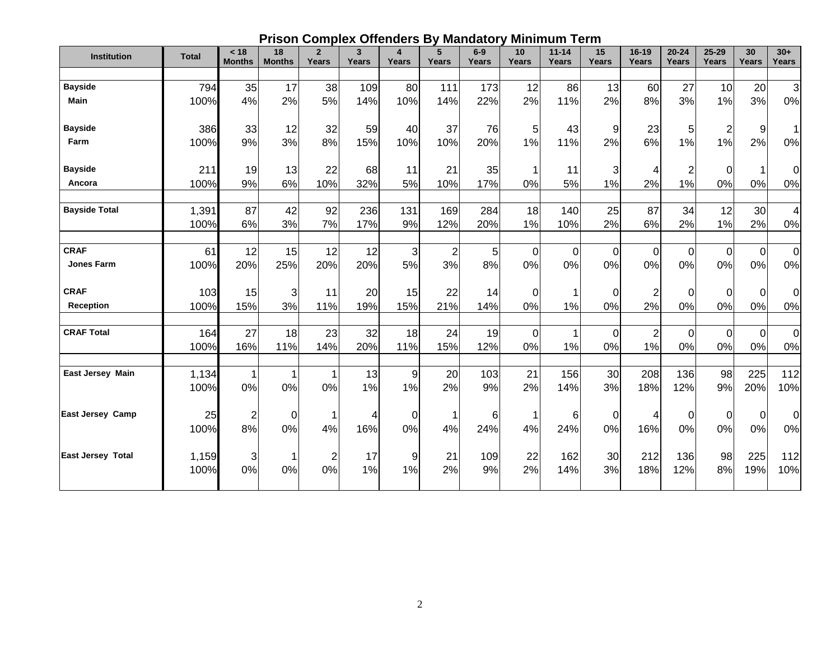# **Prison Complex Offenders By Mandatory Minimum Term**

| <b>Institution</b>       | <b>Total</b> | < 18<br><b>Months</b> | 18<br><b>Months</b> | $\overline{2}$<br>Years | 3<br>Years | 4<br>Years | 5<br>Years           | $6-9$<br>Years       | 10<br>Years          | $11 - 14$<br>Years | 15<br>Years | $16-19$<br>Years  | $20 - 24$<br>Years | $25 - 29$<br>Years | 30<br><b>Years</b> | $30+$<br>Years    |
|--------------------------|--------------|-----------------------|---------------------|-------------------------|------------|------------|----------------------|----------------------|----------------------|--------------------|-------------|-------------------|--------------------|--------------------|--------------------|-------------------|
|                          |              |                       |                     |                         |            |            |                      |                      |                      |                    |             |                   |                    |                    |                    |                   |
| <b>Bayside</b>           | 794          | 35                    | 17                  | 38                      | 109        | 80         | 111                  | 173                  | 12                   | 86                 | 13          | 60                | 27                 | 10                 | 20                 | $\mathbf{3}$      |
| <b>Main</b>              | 100%         | 4%                    | 2%                  | 5%                      | 14%        | 10%        | 14%                  | 22%                  | 2%                   | 11%                | 2%          | 8%                | 3%                 | 1%                 | 3%                 | 0%                |
| <b>Bayside</b>           | 386          | 33                    | 12                  | 32                      | 59         | 40         | 37                   | 76                   | 5                    | 43                 | 9           | 23                | 5                  | $\overline{2}$     | 9                  | 1                 |
| Farm                     | 100%         | 9%                    | 3%                  | 8%                      | 15%        | 10%        | 10%                  | 20%                  | 1%                   | 11%                | 2%          | 6%                | 1%                 | 1%                 | 2%                 | 0%                |
| <b>Bayside</b>           | 211          | 19                    | 13                  | 22                      | 68         | 11         | 21                   | 35                   |                      | 11                 | 3           | 4                 | $\overline{2}$     | $\Omega$           | 1                  | 0                 |
| Ancora                   | 100%         | 9%                    | 6%                  | 10%                     | 32%        | 5%         | 10%                  | 17%                  | 0%                   | 5%                 | 1%          | 2%                | 1%                 | 0%                 | 0%                 | 0%                |
| <b>Bayside Total</b>     | 1,391        | 87                    | 42                  | 92                      | 236        | 131        | 169                  | 284                  | 18                   | 140                | 25          | 87                | 34                 | 12                 | 30                 | 4                 |
|                          | 100%         | 6%                    | 3%                  | 7%                      | 17%        | 9%         | 12%                  | 20%                  | 1%                   | 10%                | 2%          | 6%                | 2%                 | 1%                 | 2%                 | 0%                |
| <b>CRAF</b>              |              |                       |                     |                         |            |            |                      |                      |                      |                    |             |                   |                    |                    |                    |                   |
| Jones Farm               | 61<br>100%   | 12<br>20%             | 15<br>25%           | 12<br>20%               | 12<br>20%  | 3<br>5%    | $\overline{2}$<br>3% | 5 <sup>1</sup><br>8% | $\overline{0}$<br>0% | 0<br>0%            | 0<br>0%     | $\mathbf 0$<br>0% | $\Omega$<br>0%     | $\mathbf 0$<br>0%  | $\mathbf 0$<br>0%  | $\mathbf 0$<br>0% |
|                          |              |                       |                     |                         |            |            |                      |                      |                      |                    |             |                   |                    |                    |                    |                   |
| <b>CRAF</b>              | 103          | 15                    | 3                   | 11                      | 20         | 15         | 22                   | 14                   | $\Omega$             |                    | 0           |                   | 0                  | $\Omega$           | $\mathbf 0$        | $\mathbf 0$       |
| <b>Reception</b>         | 100%         | 15%                   | 3%                  | 11%                     | 19%        | 15%        | 21%                  | 14%                  | 0%                   | 1%                 | 0%          | 2%                | 0%                 | 0%                 | 0%                 | 0%                |
| <b>CRAF Total</b>        | 164          | 27                    | 18                  | 23                      | 32         | 18         | 24                   | 19                   | $\Omega$             |                    | $\Omega$    | $\overline{c}$    | 0                  | $\Omega$           | $\boldsymbol{0}$   | $\mathbf 0$       |
|                          | 100%         | 16%                   | 11%                 | 14%                     | 20%        | 11%        | 15%                  | 12%                  | 0%                   | 1%                 | 0%          | 1%                | 0%                 | 0%                 | 0%                 | 0%                |
| East Jersey Main         | 1,134        | 1                     | $\overline{1}$      |                         | 13         | 9          | 20                   | 103                  | 21                   | 156                | 30          | 208               | 136                | 98                 | 225                | 112               |
|                          | 100%         | 0%                    | 0%                  | 0%                      | 1%         | 1%         | 2%                   | 9%                   | 2%                   | 14%                | 3%          | 18%               | 12%                | 9%                 | 20%                | 10%               |
| <b>East Jersey Camp</b>  | 25           | $\overline{2}$        | $\Omega$            |                         | 4          | $\Omega$   |                      | 6                    |                      | 6                  | $\Omega$    |                   | 0                  | $\Omega$           | $\overline{0}$     | $\mathbf 0$       |
|                          | 100%         | 8%                    | 0%                  | 4%                      | 16%        | 0%         | 4%                   | 24%                  | 4%                   | 24%                | 0%          | 16%               | 0%                 | 0%                 | 0%                 | 0%                |
| <b>East Jersey Total</b> | 1,159        | 3                     |                     | $\overline{2}$          | 17         | 9          | 21                   | 109                  | 22                   | 162                | 30          | 212               | 136                | 98                 | 225                | 112               |
|                          | 100%         | 0%                    | 0%                  | 0%                      | 1%         | 1%         | 2%                   | 9%                   | 2%                   | 14%                | 3%          | 18%               | 12%                | 8%                 | 19%                | 10%               |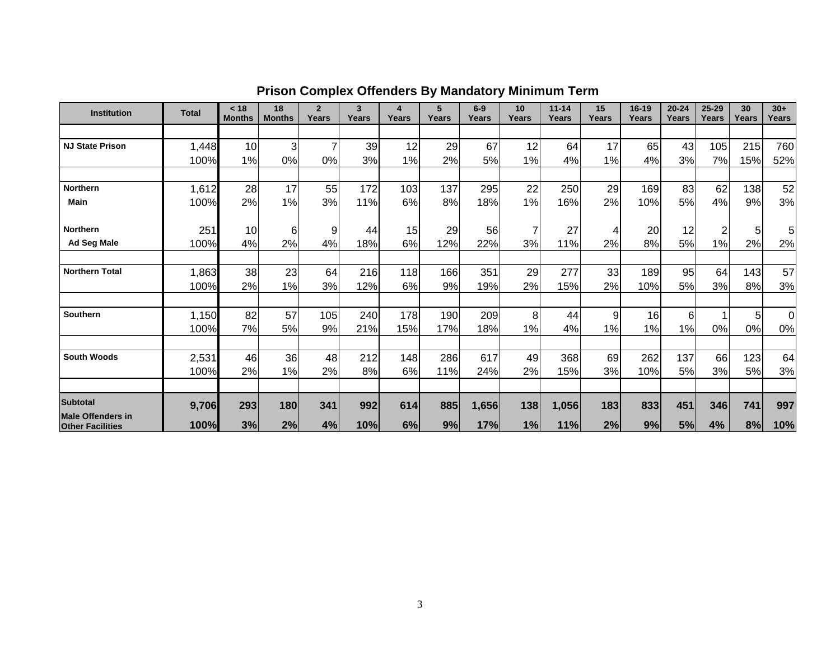| <b>Institution</b>                                  | <b>Total</b> | < 18<br><b>Months</b> | 18<br><b>Months</b> | $\mathbf{2}$<br>Years | 3<br>Years | 4<br>Years | 5<br>Years | $6-9$<br>Years | 10 <sup>°</sup><br>Years | $11 - 14$<br>Years | 15<br>Years | $16 - 19$<br>Years | $20 - 24$<br>Years | 25-29<br>Years | 30<br>Years | $30+$<br>Years |
|-----------------------------------------------------|--------------|-----------------------|---------------------|-----------------------|------------|------------|------------|----------------|--------------------------|--------------------|-------------|--------------------|--------------------|----------------|-------------|----------------|
|                                                     |              |                       |                     |                       |            |            |            |                |                          |                    |             |                    |                    |                |             |                |
| <b>NJ State Prison</b>                              | 1,448        | 10                    | 3                   |                       | 39         | 12         | 29         | 67             | 12                       | 64                 | 17          | 65                 | 43                 | 105            | 215         | 760            |
|                                                     | 100%         | 1%                    | 0%                  | 0%                    | 3%         | 1%         | 2%         | 5%             | $1\%$                    | 4%                 | 1%          | 4%                 | 3%                 | 7%             | 15%         | 52%            |
|                                                     |              |                       |                     |                       |            |            |            |                |                          |                    |             |                    |                    |                |             |                |
| <b>Northern</b>                                     | 1,612        | 28                    | 17                  | 55                    | 172        | 103        | 137        | 295            | 22                       | 250                | 29          | 169                | 83                 | 62             | 138         | 52             |
| Main                                                | 100%         | 2%                    | 1%                  | 3%                    | 11%        | 6%         | 8%         | 18%            | 1%                       | 16%                | 2%          | 10%                | 5%                 | 4%             | 9%          | 3%             |
| Northern                                            | 251          | 10                    | 6                   | 9                     | 44         | 15         | 29         | 56             | 7                        | 27                 | 4           | 20                 | 12                 | 2              | 5           | 5              |
| <b>Ad Seg Male</b>                                  | 100%         | 4%                    | 2%                  | 4%                    | 18%        | 6%         | 12%        | 22%            | 3%                       | 11%                | 2%          | 8%                 | 5%                 | 1%             | 2%          | 2%             |
|                                                     |              |                       |                     |                       |            |            |            |                |                          |                    |             |                    |                    |                |             |                |
| <b>Northern Total</b>                               | 1,863        | 38                    | 23                  | 64                    | 216        | 118        | 166        | 351            | 29                       | 277                | 33          | 189                | 95                 | 64             | 143         | 57             |
|                                                     | 100%         | 2%                    | 1%                  | 3%                    | 12%        | 6%         | 9%         | 19%            | 2%                       | 15%                | 2%          | 10%                | 5%                 | 3%             | 8%          | 3%             |
|                                                     |              |                       |                     |                       |            |            |            |                |                          |                    |             |                    |                    |                |             |                |
| <b>Southern</b>                                     | 1,150        | 82                    | 57                  | 105                   | 240        | 178        | 190        | 209            | 8                        | 44                 | 9           | 16                 | 6                  |                | 5           | ΩI             |
|                                                     | 100%         | 7%                    | 5%                  | 9%                    | 21%        | 15%        | 17%        | 18%            | 1%                       | 4%                 | 1%          | 1%                 | 1%                 | 0%             | 0%          | 0%             |
| <b>South Woods</b>                                  | 2,531        | 46                    | 36                  | 48                    | 212        | 148        | 286        | 617            | 49                       | 368                | 69          | 262                | 137                | 66             | 123         | 64             |
|                                                     | 100%         | 2%                    | 1%                  | 2%                    | 8%         | 6%         | 11%        | 24%            | 2%                       | 15%                | 3%          | 10%                | 5%                 | 3%             | 5%          | 3%             |
|                                                     |              |                       |                     |                       |            |            |            |                |                          |                    |             |                    |                    |                |             |                |
| <b>Subtotal</b>                                     | 9,706        | 293                   | 180                 | 341                   | 992        | 614        | 885        | 1,656          | 138                      | 1,056              | 183         | 833                | 451                | 346            | 741         | 997            |
| <b>Male Offenders in</b><br><b>Other Facilities</b> | 100%         | 3%                    | 2%                  | 4%                    | 10%        | 6%         | 9%         | 17%            | 1%                       | 11%                | 2%          | 9%                 | 5%                 | 4%             | 8%          | 10%            |

# **Prison Complex Offenders By Mandatory Minimum Term**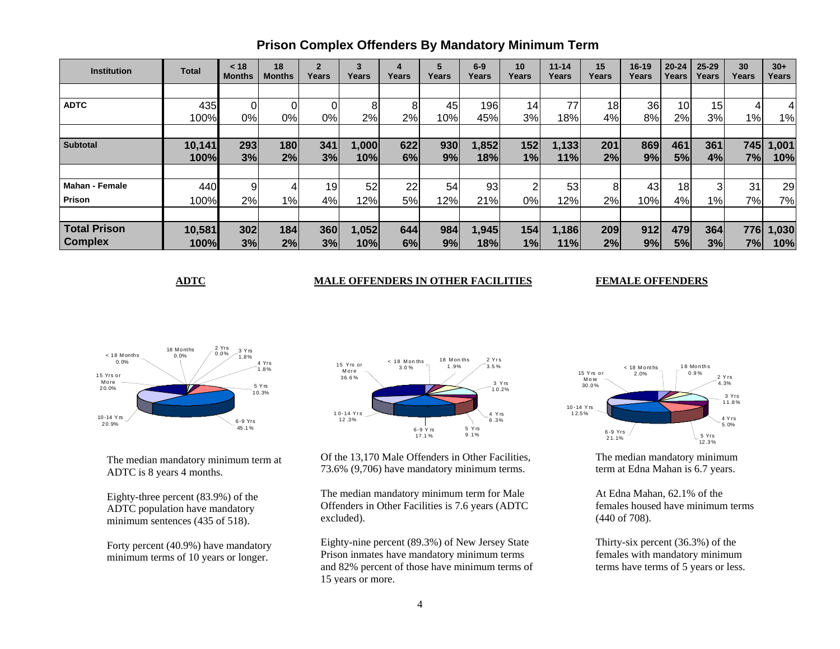| <b>Institution</b>    | <b>Total</b> | < 18<br><b>Months</b> | 18<br><b>Months</b> | $\overline{2}$<br>Years | 3<br>Years | 4<br>Years | 5<br>Years | $6-9$<br>Years  | 10<br>Years | $11 - 14$<br>Years | 15<br>Years | $16 - 19$<br>Years | $20 - 24$<br>Years | $25 - 29$<br>Years | 30<br>Years | $30+$<br>Years |
|-----------------------|--------------|-----------------------|---------------------|-------------------------|------------|------------|------------|-----------------|-------------|--------------------|-------------|--------------------|--------------------|--------------------|-------------|----------------|
|                       |              |                       |                     |                         |            |            |            |                 |             |                    |             |                    |                    |                    |             |                |
| <b>ADTC</b>           | 435          |                       |                     |                         |            | 8          | 45         | 196             | 14          | 77                 | 18          | 36                 | 10 <sub>1</sub>    | 15 <sub>l</sub>    |             |                |
|                       | 100%         | 0%                    | 0%                  | 0%                      | 2%         | 2%         | 10%        | 45%             | 3%          | 18%                | 4%          | 8%                 | 2%                 | 3%                 | 1%          | 1%             |
|                       |              |                       |                     |                         |            |            |            |                 |             |                    |             |                    |                    |                    |             |                |
| <b>Subtotal</b>       | 10,141       | 293                   | 180                 | 341                     | 1,000      | 622        | 930        | 1,852           | 152         | 1,133              | 201         | 869                | 461                | 361                | 745         | 1,001          |
|                       | 100%         | 3%                    | 2%                  | 3%                      | 10%        | 6%         | 9%         | 18%             | 1%          | 11%                | 2%          | 9%                 | 5%                 | 4%                 | 7%          | 10%            |
|                       |              |                       |                     |                         |            |            |            |                 |             |                    |             |                    |                    |                    |             |                |
| <b>Mahan - Female</b> | 440          |                       |                     | 19 <sup>1</sup>         | 52         | 22         | 54         | 93 <sub>l</sub> | ◠           | 53                 | 8           | 43                 | 18 <sup>1</sup>    | $\overline{3}$     | 31          | 29             |
| Prison                | 100%         | 2%                    | 1%                  | 4%                      | 12%        | 5%         | 12%        | 21%             | 0%          | 12%                | 2%          | 10%                | 4%                 | 1%                 | 7%          | 7%             |
|                       |              |                       |                     |                         |            |            |            |                 |             |                    |             |                    |                    |                    |             |                |
| <b>Total Prison</b>   | 10,581       | 302                   | 184                 | 360                     | 1,052      | 644        | 984        | 1,945           | 154         | 1,186              | 209         | 912                | 479                | 364                | 776         | 1,030          |
| <b>Complex</b>        | 100%         | 3%                    | 2%                  | 3%                      | 10%        | 6%         | 9%         | 18%             | 1%          | 11%                | 2%          | 9%                 | 5%                 | 3%                 | 7%          | 10%            |

# **Prison Complex Offenders By Mandatory Minimum Term**

### **ADTC MALE OFFENDERS IN OTHER FACILITIES**

#### **FEMALE OFFENDERS**



The median mandatory minimum term at ADTC is 8 years 4 months.

Eighty-three percent (83.9%) of the ADTC population have mandatory minimum sentences (435 of 518).

Forty percent (40.9%) have mandatory minimum terms of 10 years or longer.



Of the 13,170 Male Offenders in Other Facilities, 73.6% (9,706) have mandatory minimum terms.

The median mandatory minimum term for Male Offenders in Other Facilities is 7.6 years (ADTC excluded).

Eighty-nine percent (89.3%) of New Jersey State Prison inmates have mandatory minimum terms and 82% percent of those have minimum terms of 15 years or more.



The median mandatory minimum term at Edna Mahan is 6.7 years.

At Edna Mahan, 62.1% of the females housed have minimum terms (440 of 708).

Thirty-six percent (36.3%) of the females with mandatory minimum terms have terms of 5 years or less.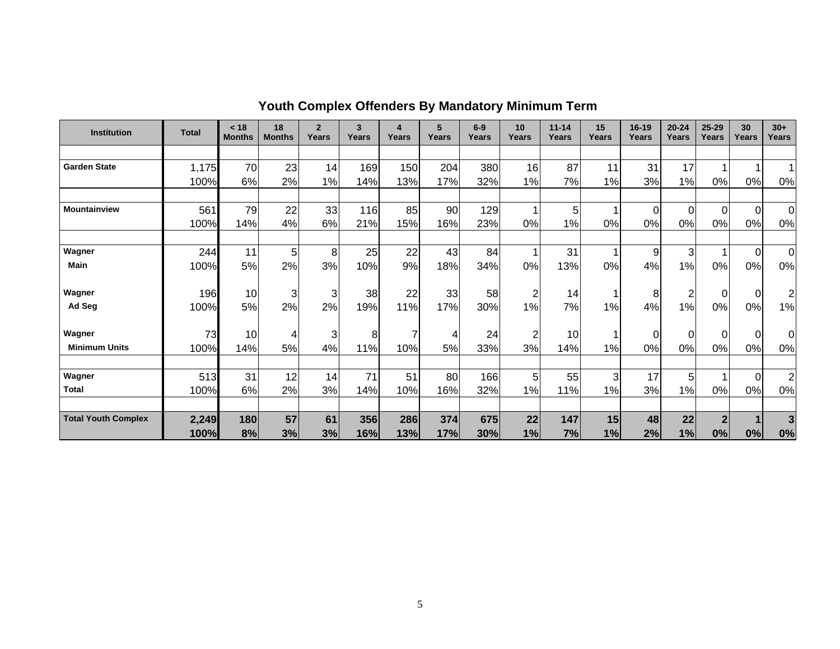| <b>Institution</b>         | <b>Total</b> | < 18<br><b>Months</b> | 18<br><b>Months</b> | $\overline{2}$<br>Years | $\overline{\mathbf{3}}$<br>Years | 4<br>Years | 5<br>Years | $6-9$<br>Years | 10<br>Years    | $11 - 14$<br>Years | 15<br>Years | $16 - 19$<br>Years | $20 - 24$<br>Years | 25-29<br>Years | 30<br>Years | $30+$<br>Years          |
|----------------------------|--------------|-----------------------|---------------------|-------------------------|----------------------------------|------------|------------|----------------|----------------|--------------------|-------------|--------------------|--------------------|----------------|-------------|-------------------------|
|                            |              |                       |                     |                         |                                  |            |            |                |                |                    |             |                    |                    |                |             |                         |
| <b>Garden State</b>        | 1,175        | 70                    | 23                  | 14                      | 169                              | 150        | 204        | 380            | 16             | 87                 | 11          | 31                 | 17                 |                |             |                         |
|                            | 100%         | 6%                    | 2%                  | 1%                      | 14%                              | 13%        | 17%        | 32%            | 1%             | 7%                 | 1%          | 3%                 | 1%                 | 0%             | 0%          | 0%                      |
|                            |              |                       |                     |                         |                                  |            |            |                |                |                    |             |                    |                    |                |             |                         |
| <b>Mountainview</b>        | 561          | 79                    | 22                  | 33                      | 116                              | 85         | 90         | 129            |                | 5                  |             | $\mathbf 0$        | 0                  | 0              | 0           | $\overline{0}$          |
|                            | 100%         | 14%                   | 4%                  | 6%                      | 21%                              | 15%        | 16%        | 23%            | 0%             | 1%                 | 0%          | 0%                 | 0%                 | 0%             | 0%          | 0%                      |
|                            |              |                       |                     |                         |                                  |            |            |                |                |                    |             |                    |                    |                |             |                         |
| Wagner                     | 244          | 11                    | 5                   | 8                       | 25                               | 22         | 43         | 84             |                | 31                 |             | 9                  | 3                  |                | $\Omega$    | $\Omega$                |
| <b>Main</b>                | 100%         | 5%                    | 2%                  | 3%                      | 10%                              | 9%         | 18%        | 34%            | 0%             | 13%                | 0%          | 4%                 | 1%                 | 0%             | 0%          | 0%                      |
|                            |              |                       |                     |                         |                                  |            |            |                |                |                    |             |                    |                    |                |             |                         |
| Wagner                     | 196          | 10                    | 3                   | 3                       | 38                               | 22         | 33         | 58             | $\overline{2}$ | 14                 |             | 8                  | $\overline{2}$     | 0              | $\mathbf 0$ | 2                       |
| Ad Seg                     | 100%         | 5%                    | 2%                  | 2%                      | 19%                              | 11%        | 17%        | 30%            | 1%             | 7%                 | 1%          | 4%                 | 1%                 | 0%             | 0%          | 1%                      |
|                            |              |                       |                     |                         |                                  |            |            |                |                |                    |             |                    |                    |                |             |                         |
| Wagner                     | 73           | 10                    | 4                   | 3                       | 8                                | 7          | 4          | 24             | $\overline{2}$ | 10                 |             | $\overline{0}$     | 0                  | 0              | 0           | 0                       |
| <b>Minimum Units</b>       | 100%         | 14%                   | 5%                  | 4%                      | 11%                              | 10%        | 5%         | 33%            | 3%             | 14%                | 1%          | 0%                 | 0%                 | 0%             | 0%          | 0%                      |
|                            |              |                       |                     |                         |                                  |            |            |                |                |                    |             |                    |                    |                |             |                         |
| Wagner                     | 513          | 31                    | 12                  | 14                      | 71                               | 51         | 80         | 166            | 5 <sub>5</sub> | 55                 | 3           | 17                 | 5                  |                | 0           | $\overline{2}$          |
| <b>Total</b>               | 100%         | 6%                    | 2%                  | 3%                      | 14%                              | 10%        | 16%        | 32%            | 1%             | 11%                | 1%          | 3%                 | 1%                 | 0%             | 0%          | 0%                      |
|                            |              |                       |                     |                         |                                  |            |            |                |                |                    |             |                    |                    |                |             |                         |
| <b>Total Youth Complex</b> | 2,249        | 180                   | 57                  | 61                      | 356                              | 286        | 374        | 675            | 22             | 147                | 15          | 48                 | 22                 | $\overline{2}$ |             | $\overline{\mathbf{3}}$ |
|                            | 100%         | 8%                    | 3%                  | 3%                      | 16%                              | 13%        | 17%        | 30%            | 1%             | 7%                 | 1%          | 2%                 | 1%                 | 0%             | 0%          | 0%                      |

**Youth Complex Offenders By Mandatory Minimum Term**